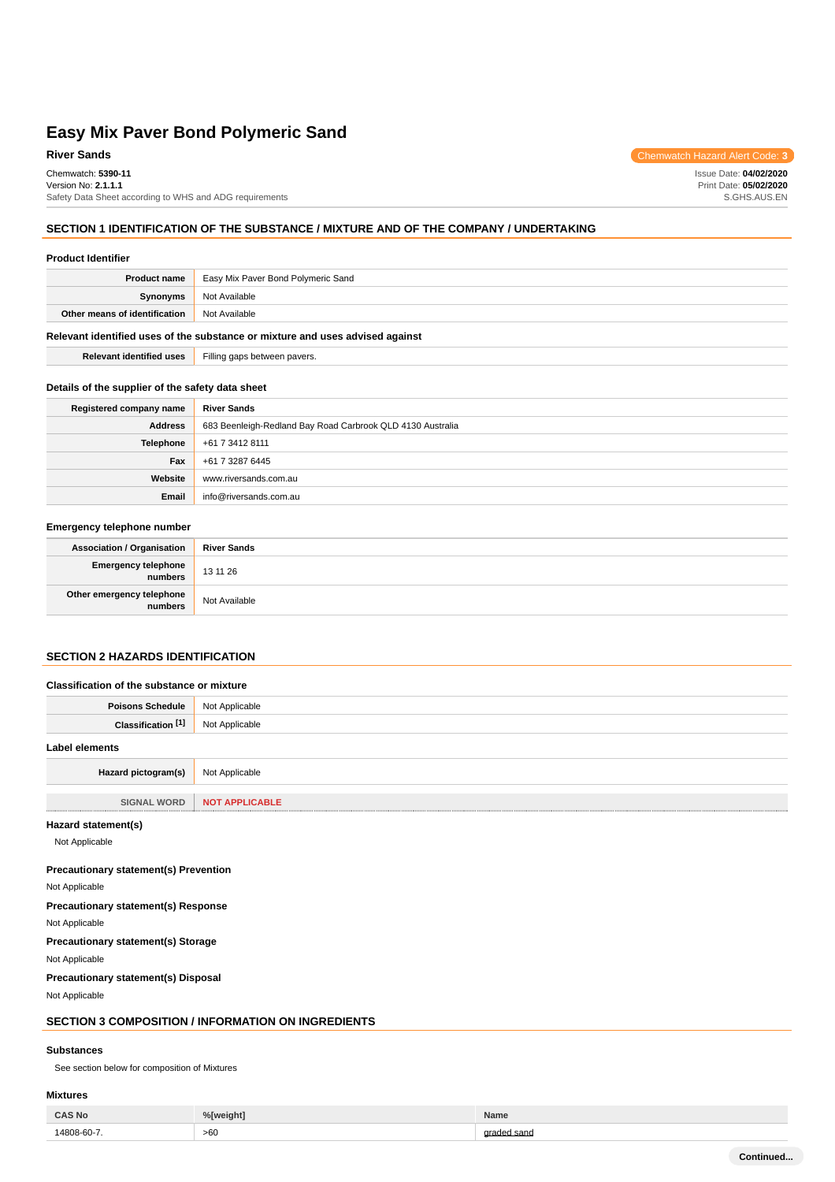Chemwatch: **5390-11** Version No: **2.1.1.1** Safety Data Sheet according to WHS and ADG requirements

### **SECTION 1 IDENTIFICATION OF THE SUBSTANCE / MIXTURE AND OF THE COMPANY / UNDERTAKING**

#### **Product Identifier**

| <b>Product name</b>                                                           | Easy Mix Paver Bond Polymeric Sand |  |  |  |
|-------------------------------------------------------------------------------|------------------------------------|--|--|--|
| Synonyms                                                                      | Not Available                      |  |  |  |
| Other means of identification                                                 | Not Available                      |  |  |  |
| Relevant identified uses of the substance or mixture and uses advised against |                                    |  |  |  |

**Relevant identified uses** Filling gaps between pavers.

## **Details of the supplier of the safety data sheet**

| Registered company name | <b>River Sands</b>                                         |
|-------------------------|------------------------------------------------------------|
| <b>Address</b>          | 683 Beenleigh-Redland Bay Road Carbrook QLD 4130 Australia |
| Telephone               | +61 7 3412 8111                                            |
| Fax                     | +61 7 3287 6445                                            |
| Website                 | www.riversands.com.au                                      |
| Email                   | info@riversands.com.au                                     |

#### **Emergency telephone number**

| <b>Association / Organisation</b>    | <b>River Sands</b> |
|--------------------------------------|--------------------|
| Emergency telephone<br>numbers       | 13 11 26           |
| Other emergency telephone<br>numbers | Not Available      |

## **SECTION 2 HAZARDS IDENTIFICATION**

| Classification of the substance or mixture |                       |  |  |
|--------------------------------------------|-----------------------|--|--|
| <b>Poisons Schedule</b>                    | Not Applicable        |  |  |
| Classification [1]                         | Not Applicable        |  |  |
| Label elements                             |                       |  |  |
| Hazard pictogram(s)                        | Not Applicable        |  |  |
|                                            |                       |  |  |
| <b>SIGNAL WORD</b>                         | <b>NOT APPLICABLE</b> |  |  |

#### **Hazard statement(s)**

Not Applicable

#### **Precautionary statement(s) Prevention**

Not Applicable

## **Precautionary statement(s) Response** Not Applicable

**Precautionary statement(s) Storage**

Not Applicable

#### **Precautionary statement(s) Disposal**

Not Applicable

## **SECTION 3 COMPOSITION / INFORMATION ON INGREDIENTS**

#### **Substances**

See section below for composition of Mixtures

#### **Mixtures**

| $CAS$ No   |     | . I a vu |
|------------|-----|----------|
| 1000c<br>. | >60 | nn       |

**River Sands** Chemwatch Hazard Alert Code: 3

Issue Date: **04/02/2020** Print Date: **05/02/2020** S.GHS.AUS.EN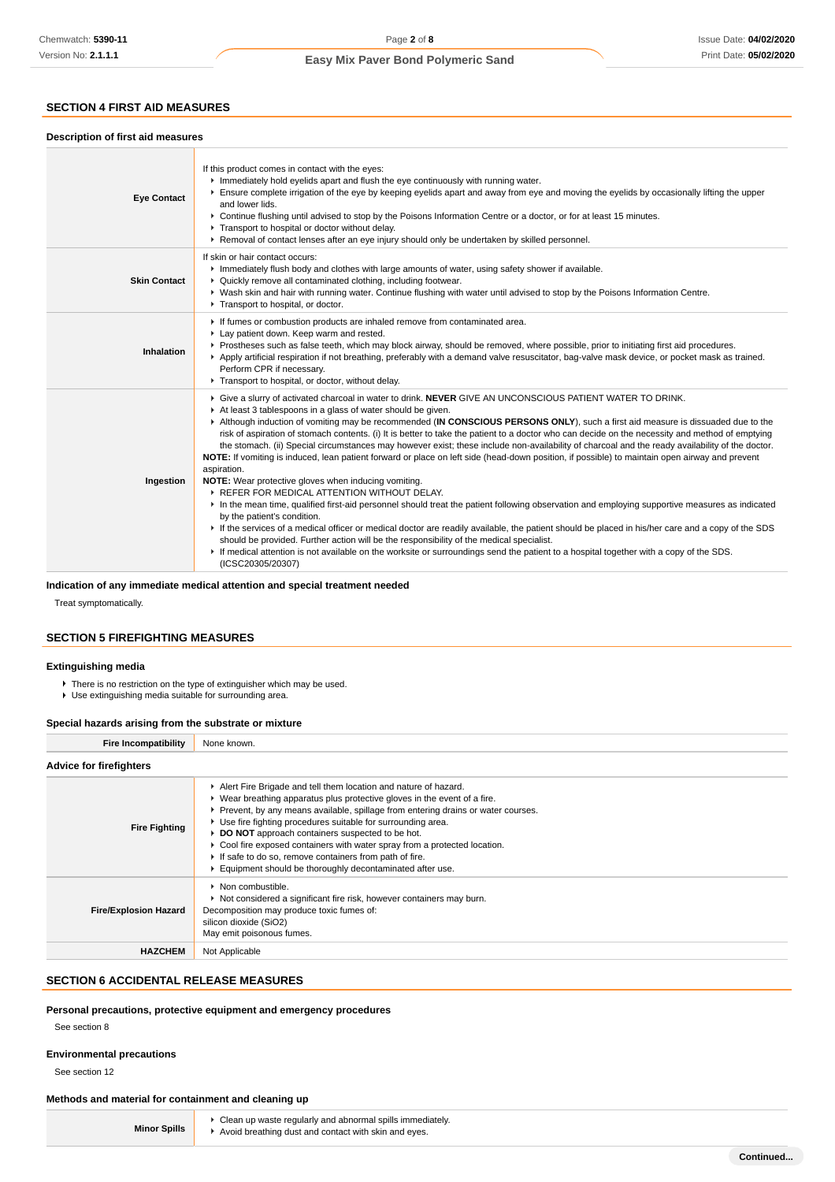## **SECTION 4 FIRST AID MEASURES**

| Description of first aid measures |                                                                                                                                                                                                                                                                                                                                                                                                                                                                                                                                                                                                                                                                                                                                                                                                                                                                                                                                                                                                                                                                                                                                                                                                                                                                                                                                                                                                                                                                                         |
|-----------------------------------|-----------------------------------------------------------------------------------------------------------------------------------------------------------------------------------------------------------------------------------------------------------------------------------------------------------------------------------------------------------------------------------------------------------------------------------------------------------------------------------------------------------------------------------------------------------------------------------------------------------------------------------------------------------------------------------------------------------------------------------------------------------------------------------------------------------------------------------------------------------------------------------------------------------------------------------------------------------------------------------------------------------------------------------------------------------------------------------------------------------------------------------------------------------------------------------------------------------------------------------------------------------------------------------------------------------------------------------------------------------------------------------------------------------------------------------------------------------------------------------------|
| <b>Eye Contact</b>                | If this product comes in contact with the eyes:<br>Immediately hold eyelids apart and flush the eye continuously with running water.<br>Ensure complete irrigation of the eye by keeping eyelids apart and away from eye and moving the eyelids by occasionally lifting the upper<br>and lower lids.<br>► Continue flushing until advised to stop by the Poisons Information Centre or a doctor, or for at least 15 minutes.<br>Transport to hospital or doctor without delay.<br>▶ Removal of contact lenses after an eye injury should only be undertaken by skilled personnel.                                                                                                                                                                                                                                                                                                                                                                                                                                                                                                                                                                                                                                                                                                                                                                                                                                                                                                       |
| <b>Skin Contact</b>               | If skin or hair contact occurs:<br>Immediately flush body and clothes with large amounts of water, using safety shower if available.<br>• Quickly remove all contaminated clothing, including footwear.<br>▶ Wash skin and hair with running water. Continue flushing with water until advised to stop by the Poisons Information Centre.<br>Transport to hospital, or doctor.                                                                                                                                                                                                                                                                                                                                                                                                                                                                                                                                                                                                                                                                                                                                                                                                                                                                                                                                                                                                                                                                                                          |
| Inhalation                        | If fumes or combustion products are inhaled remove from contaminated area.<br>Lay patient down. Keep warm and rested.<br>▶ Prostheses such as false teeth, which may block airway, should be removed, where possible, prior to initiating first aid procedures.<br>Apply artificial respiration if not breathing, preferably with a demand valve resuscitator, bag-valve mask device, or pocket mask as trained.<br>Perform CPR if necessary.<br>Transport to hospital, or doctor, without delay.                                                                                                                                                                                                                                                                                                                                                                                                                                                                                                                                                                                                                                                                                                                                                                                                                                                                                                                                                                                       |
| Ingestion                         | ▶ Give a slurry of activated charcoal in water to drink. NEVER GIVE AN UNCONSCIOUS PATIENT WATER TO DRINK.<br>At least 3 tablespoons in a glass of water should be given.<br>Although induction of vomiting may be recommended (IN CONSCIOUS PERSONS ONLY), such a first aid measure is dissuaded due to the<br>risk of aspiration of stomach contents. (i) It is better to take the patient to a doctor who can decide on the necessity and method of emptying<br>the stomach. (ii) Special circumstances may however exist; these include non-availability of charcoal and the ready availability of the doctor.<br>NOTE: If vomiting is induced, lean patient forward or place on left side (head-down position, if possible) to maintain open airway and prevent<br>aspiration.<br>NOTE: Wear protective gloves when inducing vomiting.<br>REFER FOR MEDICAL ATTENTION WITHOUT DELAY.<br>In the mean time, qualified first-aid personnel should treat the patient following observation and employing supportive measures as indicated<br>by the patient's condition.<br>If the services of a medical officer or medical doctor are readily available, the patient should be placed in his/her care and a copy of the SDS<br>should be provided. Further action will be the responsibility of the medical specialist.<br>If medical attention is not available on the worksite or surroundings send the patient to a hospital together with a copy of the SDS.<br>(ICSC20305/20307) |

#### **Indication of any immediate medical attention and special treatment needed**

Treat symptomatically.

## **SECTION 5 FIREFIGHTING MEASURES**

## **Extinguishing media**

- ▶ There is no restriction on the type of extinguisher which may be used.
- Use extinguishing media suitable for surrounding area.

#### **Special hazards arising from the substrate or mixture**

| <b>Fire Incompatibility</b>                                                                                                                                                                                                                                                                                                                                                                                                                                                                                                                                                                            | None known.                                                                                                                                                                                      |  |  |  |  |  |
|--------------------------------------------------------------------------------------------------------------------------------------------------------------------------------------------------------------------------------------------------------------------------------------------------------------------------------------------------------------------------------------------------------------------------------------------------------------------------------------------------------------------------------------------------------------------------------------------------------|--------------------------------------------------------------------------------------------------------------------------------------------------------------------------------------------------|--|--|--|--|--|
| <b>Advice for firefighters</b>                                                                                                                                                                                                                                                                                                                                                                                                                                                                                                                                                                         |                                                                                                                                                                                                  |  |  |  |  |  |
| Alert Fire Brigade and tell them location and nature of hazard.<br>$\blacktriangleright$ Wear breathing apparatus plus protective gloves in the event of a fire.<br>▶ Prevent, by any means available, spillage from entering drains or water courses.<br>• Use fire fighting procedures suitable for surrounding area.<br><b>Fire Fighting</b><br>DO NOT approach containers suspected to be hot.<br>• Cool fire exposed containers with water spray from a protected location.<br>If safe to do so, remove containers from path of fire.<br>Equipment should be thoroughly decontaminated after use. |                                                                                                                                                                                                  |  |  |  |  |  |
| <b>Fire/Explosion Hazard</b>                                                                                                                                                                                                                                                                                                                                                                                                                                                                                                                                                                           | • Non combustible.<br>▶ Not considered a significant fire risk, however containers may burn.<br>Decomposition may produce toxic fumes of:<br>silicon dioxide (SiO2)<br>May emit poisonous fumes. |  |  |  |  |  |
| <b>HAZCHEM</b>                                                                                                                                                                                                                                                                                                                                                                                                                                                                                                                                                                                         | Not Applicable                                                                                                                                                                                   |  |  |  |  |  |

## **SECTION 6 ACCIDENTAL RELEASE MEASURES**

#### **Personal precautions, protective equipment and emergency procedures**

See section 8

#### **Environmental precautions**

See section 12

## **Methods and material for containment and cleaning up**

|                     | • Clean up waste regularly and abnormal spills immediately. |
|---------------------|-------------------------------------------------------------|
| <b>Minor Spills</b> | Avoid breathing dust and contact with skin and eyes.        |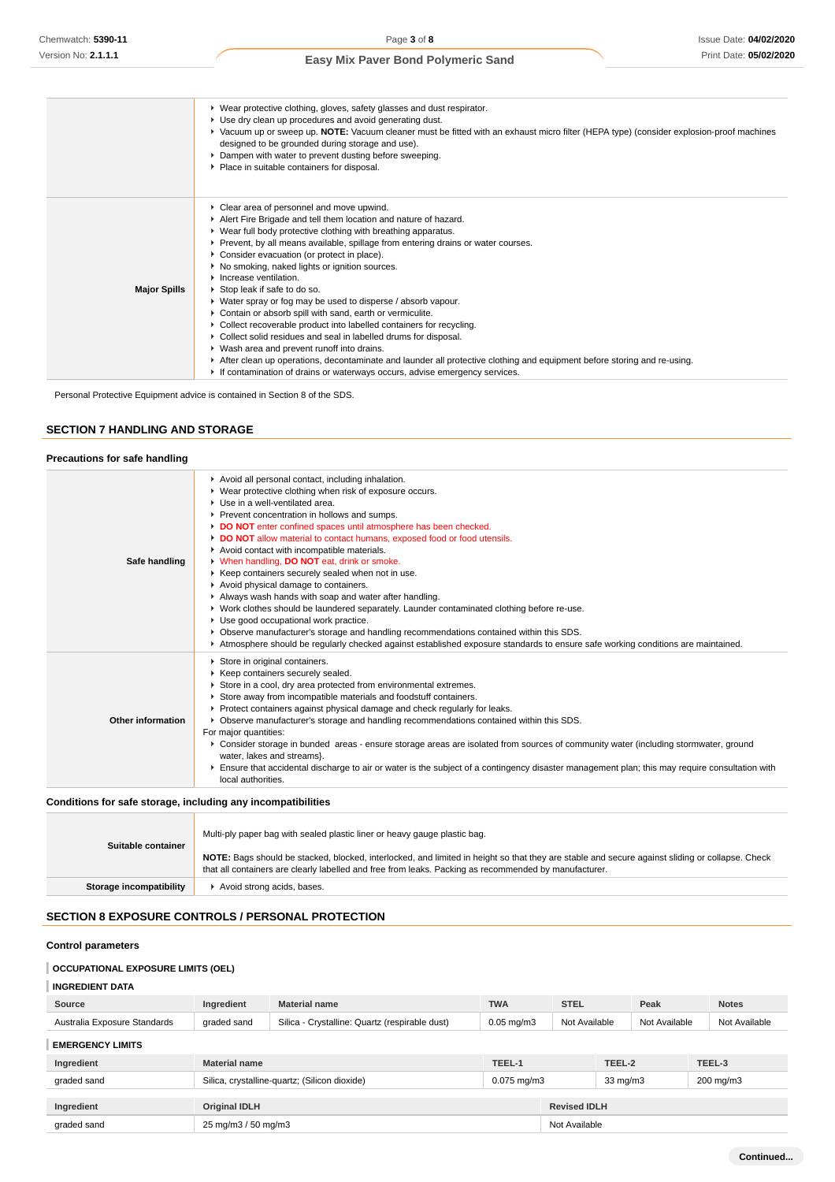|                     | ▶ Wear protective clothing, gloves, safety glasses and dust respirator.<br>▶ Use dry clean up procedures and avoid generating dust.<br>▶ Vacuum up or sweep up. NOTE: Vacuum cleaner must be fitted with an exhaust micro filter (HEPA type) (consider explosion-proof machines<br>designed to be grounded during storage and use).<br>• Dampen with water to prevent dusting before sweeping.<br>▶ Place in suitable containers for disposal.                                                                                                                                                                                                                                                                                                                                                                                                                                                                                                                          |
|---------------------|-------------------------------------------------------------------------------------------------------------------------------------------------------------------------------------------------------------------------------------------------------------------------------------------------------------------------------------------------------------------------------------------------------------------------------------------------------------------------------------------------------------------------------------------------------------------------------------------------------------------------------------------------------------------------------------------------------------------------------------------------------------------------------------------------------------------------------------------------------------------------------------------------------------------------------------------------------------------------|
| <b>Major Spills</b> | • Clear area of personnel and move upwind.<br>Alert Fire Brigade and tell them location and nature of hazard.<br>• Wear full body protective clothing with breathing apparatus.<br>▶ Prevent, by all means available, spillage from entering drains or water courses.<br>• Consider evacuation (or protect in place).<br>▶ No smoking, naked lights or ignition sources.<br>Increase ventilation.<br>▶ Stop leak if safe to do so.<br>• Water spray or fog may be used to disperse / absorb vapour.<br>• Contain or absorb spill with sand, earth or vermiculite.<br>• Collect recoverable product into labelled containers for recycling.<br>• Collect solid residues and seal in labelled drums for disposal.<br>▶ Wash area and prevent runoff into drains.<br>After clean up operations, decontaminate and launder all protective clothing and equipment before storing and re-using.<br>If contamination of drains or waterways occurs, advise emergency services. |

Personal Protective Equipment advice is contained in Section 8 of the SDS.

## **SECTION 7 HANDLING AND STORAGE**

## **Precautions for safe handling**

| Safe handling                                                | Avoid all personal contact, including inhalation.<br>▶ Wear protective clothing when risk of exposure occurs.<br>▶ Use in a well-ventilated area.<br>▶ Prevent concentration in hollows and sumps.<br>DO NOT enter confined spaces until atmosphere has been checked.<br>DO NOT allow material to contact humans, exposed food or food utensils.<br>Avoid contact with incompatible materials.<br>V When handling, DO NOT eat, drink or smoke.<br>▶ Keep containers securely sealed when not in use.<br>Avoid physical damage to containers.<br>Always wash hands with soap and water after handling.<br>▶ Work clothes should be laundered separately. Launder contaminated clothing before re-use.<br>• Use good occupational work practice.             |
|--------------------------------------------------------------|------------------------------------------------------------------------------------------------------------------------------------------------------------------------------------------------------------------------------------------------------------------------------------------------------------------------------------------------------------------------------------------------------------------------------------------------------------------------------------------------------------------------------------------------------------------------------------------------------------------------------------------------------------------------------------------------------------------------------------------------------------|
|                                                              | ▶ Observe manufacturer's storage and handling recommendations contained within this SDS.<br>Atmosphere should be regularly checked against established exposure standards to ensure safe working conditions are maintained.                                                                                                                                                                                                                                                                                                                                                                                                                                                                                                                                |
| Other information                                            | Store in original containers.<br>▶ Keep containers securely sealed.<br>Store in a cool, dry area protected from environmental extremes.<br>Store away from incompatible materials and foodstuff containers.<br>Protect containers against physical damage and check regularly for leaks.<br>▶ Observe manufacturer's storage and handling recommendations contained within this SDS.<br>For major quantities:<br>▶ Consider storage in bunded areas - ensure storage areas are isolated from sources of community water (including stormwater, ground<br>water, lakes and streams}.<br>Ensure that accidental discharge to air or water is the subject of a contingency disaster management plan; this may require consultation with<br>local authorities. |
| Conditions for safe storage, including any incompatibilities |                                                                                                                                                                                                                                                                                                                                                                                                                                                                                                                                                                                                                                                                                                                                                            |

| Suitable container      | Multi-ply paper bag with sealed plastic liner or heavy gauge plastic bag.                                                                                                                                                                                |
|-------------------------|----------------------------------------------------------------------------------------------------------------------------------------------------------------------------------------------------------------------------------------------------------|
|                         | NOTE: Bags should be stacked, blocked, interlocked, and limited in height so that they are stable and secure against sliding or collapse. Check<br>that all containers are clearly labelled and free from leaks. Packing as recommended by manufacturer. |
| Storage incompatibility | Avoid strong acids, bases.                                                                                                                                                                                                                               |

## **SECTION 8 EXPOSURE CONTROLS / PERSONAL PROTECTION**

## **Control parameters**

## **OCCUPATIONAL EXPOSURE LIMITS (OEL)**

#### **INGREDIENT DATA**

| Source                       | Ingredient           | <b>Material name</b>                           | <b>TWA</b>      | <b>STEL</b>         |        | Peak              |               | <b>Notes</b> |  |
|------------------------------|----------------------|------------------------------------------------|-----------------|---------------------|--------|-------------------|---------------|--------------|--|
| Australia Exposure Standards | graded sand          | Silica - Crystalline: Quartz (respirable dust) | $0.05$ mg/m $3$ | Not Available       |        | Not Available     | Not Available |              |  |
| <b>EMERGENCY LIMITS</b>      |                      |                                                |                 |                     |        |                   |               |              |  |
| Ingredient                   | <b>Material name</b> |                                                | TEEL-1          |                     | TEEL-2 |                   |               | TEEL-3       |  |
| graded sand                  |                      | Silica, crystalline-quartz; (Silicon dioxide)  |                 | $0.075$ mg/m $3$    |        | $33 \text{ mg/m}$ |               | 200 mg/m3    |  |
|                              |                      |                                                |                 |                     |        |                   |               |              |  |
| Ingredient                   | <b>Original IDLH</b> |                                                |                 | <b>Revised IDLH</b> |        |                   |               |              |  |
| graded sand                  | 25 mg/m3 / 50 mg/m3  |                                                | Not Available   |                     |        |                   |               |              |  |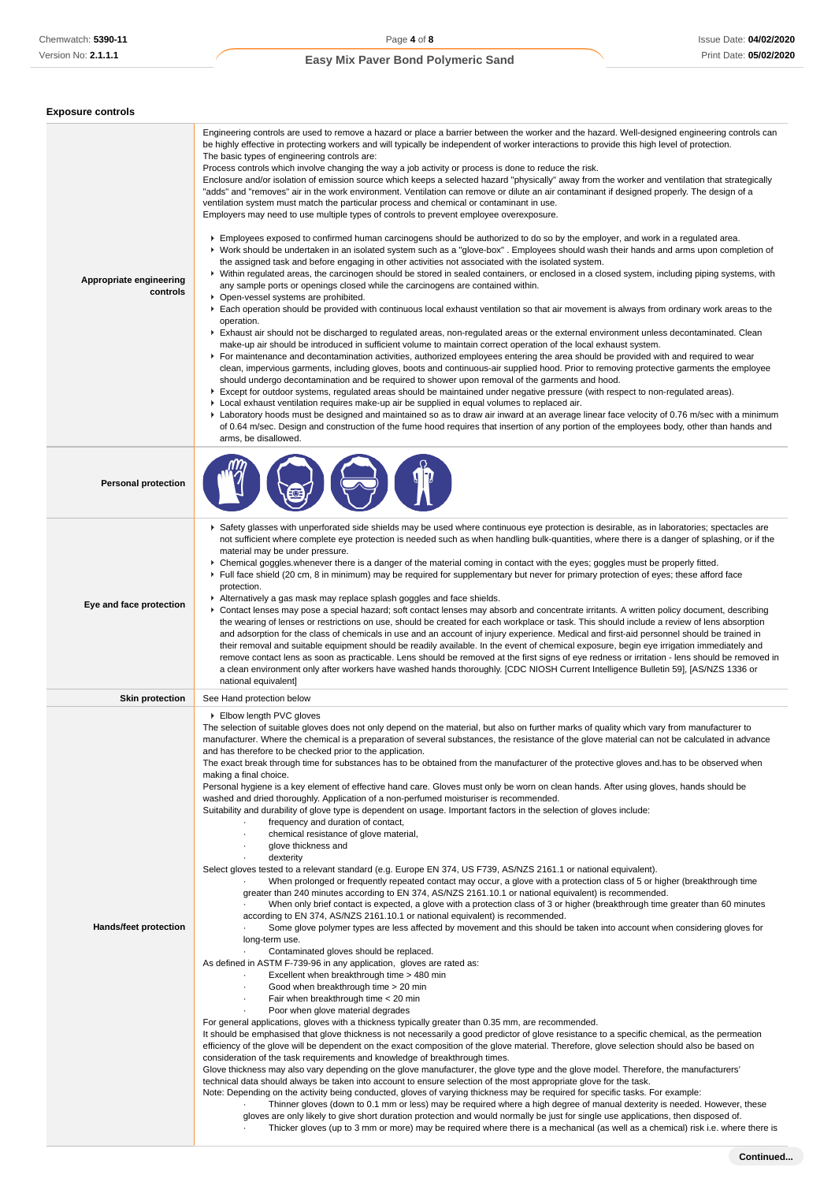| <b>Exposure controls</b>            |                                                                                                                                                                                                                                                                                                                                                                                                                                                                                                                                                                                                                                                                                                                                                                                                                                                                                                                                                                                                                                                                                                                                                                                                                                                                                                                                                                                                                                                                                                                                                                                                                                                                                                                                                                                                                                                                                                                                                                                                                                                                                                                                                                                                                                                                                                                                                                                                                                                                                                                                                                                                                                                                                                                                                                                                                                                                                                                                                                                                                                                                                                                                                                                                                                                                                                                                                                                                  |
|-------------------------------------|--------------------------------------------------------------------------------------------------------------------------------------------------------------------------------------------------------------------------------------------------------------------------------------------------------------------------------------------------------------------------------------------------------------------------------------------------------------------------------------------------------------------------------------------------------------------------------------------------------------------------------------------------------------------------------------------------------------------------------------------------------------------------------------------------------------------------------------------------------------------------------------------------------------------------------------------------------------------------------------------------------------------------------------------------------------------------------------------------------------------------------------------------------------------------------------------------------------------------------------------------------------------------------------------------------------------------------------------------------------------------------------------------------------------------------------------------------------------------------------------------------------------------------------------------------------------------------------------------------------------------------------------------------------------------------------------------------------------------------------------------------------------------------------------------------------------------------------------------------------------------------------------------------------------------------------------------------------------------------------------------------------------------------------------------------------------------------------------------------------------------------------------------------------------------------------------------------------------------------------------------------------------------------------------------------------------------------------------------------------------------------------------------------------------------------------------------------------------------------------------------------------------------------------------------------------------------------------------------------------------------------------------------------------------------------------------------------------------------------------------------------------------------------------------------------------------------------------------------------------------------------------------------------------------------------------------------------------------------------------------------------------------------------------------------------------------------------------------------------------------------------------------------------------------------------------------------------------------------------------------------------------------------------------------------------------------------------------------------------------------------------------------------|
| Appropriate engineering<br>controls | Engineering controls are used to remove a hazard or place a barrier between the worker and the hazard. Well-designed engineering controls can<br>be highly effective in protecting workers and will typically be independent of worker interactions to provide this high level of protection.<br>The basic types of engineering controls are:<br>Process controls which involve changing the way a job activity or process is done to reduce the risk.<br>Enclosure and/or isolation of emission source which keeps a selected hazard "physically" away from the worker and ventilation that strategically<br>"adds" and "removes" air in the work environment. Ventilation can remove or dilute an air contaminant if designed properly. The design of a<br>ventilation system must match the particular process and chemical or contaminant in use.<br>Employers may need to use multiple types of controls to prevent employee overexposure.<br>Employees exposed to confirmed human carcinogens should be authorized to do so by the employer, and work in a regulated area.<br>▶ Work should be undertaken in an isolated system such as a "glove-box". Employees should wash their hands and arms upon completion of<br>the assigned task and before engaging in other activities not associated with the isolated system.<br>▶ Within regulated areas, the carcinogen should be stored in sealed containers, or enclosed in a closed system, including piping systems, with<br>any sample ports or openings closed while the carcinogens are contained within.<br>• Open-vessel systems are prohibited.<br>Each operation should be provided with continuous local exhaust ventilation so that air movement is always from ordinary work areas to the<br>operation.<br>Exhaust air should not be discharged to regulated areas, non-regulated areas or the external environment unless decontaminated. Clean<br>make-up air should be introduced in sufficient volume to maintain correct operation of the local exhaust system.<br>For maintenance and decontamination activities, authorized employees entering the area should be provided with and required to wear<br>clean, impervious garments, including gloves, boots and continuous-air supplied hood. Prior to removing protective garments the employee<br>should undergo decontamination and be required to shower upon removal of the garments and hood.<br>▶ Except for outdoor systems, regulated areas should be maintained under negative pressure (with respect to non-regulated areas).<br>▶ Local exhaust ventilation requires make-up air be supplied in equal volumes to replaced air.<br>Laboratory hoods must be designed and maintained so as to draw air inward at an average linear face velocity of 0.76 m/sec with a minimum<br>of 0.64 m/sec. Design and construction of the fume hood requires that insertion of any portion of the employees body, other than hands and<br>arms, be disallowed.                                                                                                                                                                                                                                                                                                                                                                                                          |
| <b>Personal protection</b>          |                                                                                                                                                                                                                                                                                                                                                                                                                                                                                                                                                                                                                                                                                                                                                                                                                                                                                                                                                                                                                                                                                                                                                                                                                                                                                                                                                                                                                                                                                                                                                                                                                                                                                                                                                                                                                                                                                                                                                                                                                                                                                                                                                                                                                                                                                                                                                                                                                                                                                                                                                                                                                                                                                                                                                                                                                                                                                                                                                                                                                                                                                                                                                                                                                                                                                                                                                                                                  |
| Eye and face protection             | ▶ Safety glasses with unperforated side shields may be used where continuous eye protection is desirable, as in laboratories; spectacles are<br>not sufficient where complete eye protection is needed such as when handling bulk-quantities, where there is a danger of splashing, or if the<br>material may be under pressure.<br>▶ Chemical goggles whenever there is a danger of the material coming in contact with the eyes; goggles must be properly fitted.<br>Full face shield (20 cm, 8 in minimum) may be required for supplementary but never for primary protection of eyes; these afford face<br>protection.<br>Alternatively a gas mask may replace splash goggles and face shields.<br>Contact lenses may pose a special hazard; soft contact lenses may absorb and concentrate irritants. A written policy document, describing<br>the wearing of lenses or restrictions on use, should be created for each workplace or task. This should include a review of lens absorption<br>and adsorption for the class of chemicals in use and an account of injury experience. Medical and first-aid personnel should be trained in<br>their removal and suitable equipment should be readily available. In the event of chemical exposure, begin eye irrigation immediately and<br>remove contact lens as soon as practicable. Lens should be removed at the first signs of eye redness or irritation - lens should be removed in<br>a clean environment only after workers have washed hands thoroughly. [CDC NIOSH Current Intelligence Bulletin 59], [AS/NZS 1336 or<br>national equivalent]                                                                                                                                                                                                                                                                                                                                                                                                                                                                                                                                                                                                                                                                                                                                                                                                                                                                                                                                                                                                                                                                                                                                                                                                                                                                                                                                                                                                                                                                                                                                                                                                                                                                                                                                                                                       |
| <b>Skin protection</b>              | See Hand protection below                                                                                                                                                                                                                                                                                                                                                                                                                                                                                                                                                                                                                                                                                                                                                                                                                                                                                                                                                                                                                                                                                                                                                                                                                                                                                                                                                                                                                                                                                                                                                                                                                                                                                                                                                                                                                                                                                                                                                                                                                                                                                                                                                                                                                                                                                                                                                                                                                                                                                                                                                                                                                                                                                                                                                                                                                                                                                                                                                                                                                                                                                                                                                                                                                                                                                                                                                                        |
| <b>Hands/feet protection</b>        | ▶ Elbow length PVC gloves<br>The selection of suitable gloves does not only depend on the material, but also on further marks of quality which vary from manufacturer to<br>manufacturer. Where the chemical is a preparation of several substances, the resistance of the glove material can not be calculated in advance<br>and has therefore to be checked prior to the application.<br>The exact break through time for substances has to be obtained from the manufacturer of the protective gloves and has to be observed when<br>making a final choice.<br>Personal hygiene is a key element of effective hand care. Gloves must only be worn on clean hands. After using gloves, hands should be<br>washed and dried thoroughly. Application of a non-perfumed moisturiser is recommended.<br>Suitability and durability of glove type is dependent on usage. Important factors in the selection of gloves include:<br>frequency and duration of contact,<br>chemical resistance of glove material,<br>$\cdot$<br>glove thickness and<br>dexterity<br>Select gloves tested to a relevant standard (e.g. Europe EN 374, US F739, AS/NZS 2161.1 or national equivalent).<br>When prolonged or frequently repeated contact may occur, a glove with a protection class of 5 or higher (breakthrough time<br>greater than 240 minutes according to EN 374, AS/NZS 2161.10.1 or national equivalent) is recommended.<br>When only brief contact is expected, a glove with a protection class of 3 or higher (breakthrough time greater than 60 minutes<br>according to EN 374, AS/NZS 2161.10.1 or national equivalent) is recommended.<br>Some glove polymer types are less affected by movement and this should be taken into account when considering gloves for<br>long-term use.<br>Contaminated gloves should be replaced.<br>As defined in ASTM F-739-96 in any application, gloves are rated as:<br>Excellent when breakthrough time > 480 min<br>Good when breakthrough time > 20 min<br>$\cdot$<br>Fair when breakthrough time < 20 min<br>$\cdot$<br>Poor when glove material degrades<br>For general applications, gloves with a thickness typically greater than 0.35 mm, are recommended.<br>It should be emphasised that glove thickness is not necessarily a good predictor of glove resistance to a specific chemical, as the permeation<br>efficiency of the glove will be dependent on the exact composition of the glove material. Therefore, glove selection should also be based on<br>consideration of the task requirements and knowledge of breakthrough times.<br>Glove thickness may also vary depending on the glove manufacturer, the glove type and the glove model. Therefore, the manufacturers'<br>technical data should always be taken into account to ensure selection of the most appropriate glove for the task.<br>Note: Depending on the activity being conducted, gloves of varying thickness may be required for specific tasks. For example:<br>Thinner gloves (down to 0.1 mm or less) may be required where a high degree of manual dexterity is needed. However, these<br>gloves are only likely to give short duration protection and would normally be just for single use applications, then disposed of.<br>Thicker gloves (up to 3 mm or more) may be required where there is a mechanical (as well as a chemical) risk i.e. where there is |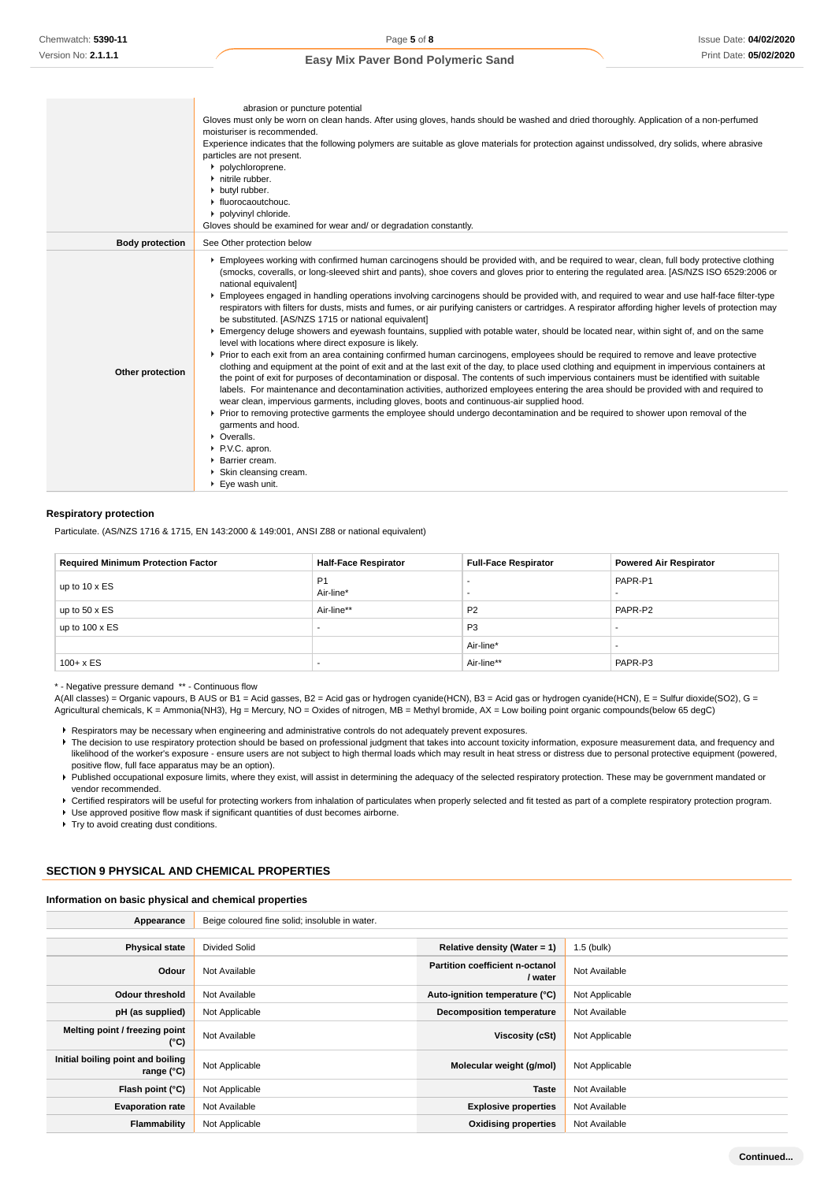|                        | abrasion or puncture potential                                                                                                                                                                                                                                                                                                                                                                                                                                                                                                                                                                                                                                                                                                                                                                                                                                                                                                                                                                                                                                                                                                                                                                                                                                                                                                                                                                                                                                                                                                                                                                                                                                                                                                                                                                                                                    |
|------------------------|---------------------------------------------------------------------------------------------------------------------------------------------------------------------------------------------------------------------------------------------------------------------------------------------------------------------------------------------------------------------------------------------------------------------------------------------------------------------------------------------------------------------------------------------------------------------------------------------------------------------------------------------------------------------------------------------------------------------------------------------------------------------------------------------------------------------------------------------------------------------------------------------------------------------------------------------------------------------------------------------------------------------------------------------------------------------------------------------------------------------------------------------------------------------------------------------------------------------------------------------------------------------------------------------------------------------------------------------------------------------------------------------------------------------------------------------------------------------------------------------------------------------------------------------------------------------------------------------------------------------------------------------------------------------------------------------------------------------------------------------------------------------------------------------------------------------------------------------------|
|                        | Gloves must only be worn on clean hands. After using gloves, hands should be washed and dried thoroughly. Application of a non-perfumed<br>moisturiser is recommended.                                                                                                                                                                                                                                                                                                                                                                                                                                                                                                                                                                                                                                                                                                                                                                                                                                                                                                                                                                                                                                                                                                                                                                                                                                                                                                                                                                                                                                                                                                                                                                                                                                                                            |
|                        | Experience indicates that the following polymers are suitable as glove materials for protection against undissolved, dry solids, where abrasive<br>particles are not present.                                                                                                                                                                                                                                                                                                                                                                                                                                                                                                                                                                                                                                                                                                                                                                                                                                                                                                                                                                                                                                                                                                                                                                                                                                                                                                                                                                                                                                                                                                                                                                                                                                                                     |
|                        | polychloroprene.<br>• nitrile rubber.                                                                                                                                                                                                                                                                                                                                                                                                                                                                                                                                                                                                                                                                                                                                                                                                                                                                                                                                                                                                                                                                                                                                                                                                                                                                                                                                                                                                                                                                                                                                                                                                                                                                                                                                                                                                             |
|                        | butyl rubber.                                                                                                                                                                                                                                                                                                                                                                                                                                                                                                                                                                                                                                                                                                                                                                                                                                                                                                                                                                                                                                                                                                                                                                                                                                                                                                                                                                                                                                                                                                                                                                                                                                                                                                                                                                                                                                     |
|                        | $\blacktriangleright$ fluorocaoutchouc.                                                                                                                                                                                                                                                                                                                                                                                                                                                                                                                                                                                                                                                                                                                                                                                                                                                                                                                                                                                                                                                                                                                                                                                                                                                                                                                                                                                                                                                                                                                                                                                                                                                                                                                                                                                                           |
|                        | polyvinyl chloride.                                                                                                                                                                                                                                                                                                                                                                                                                                                                                                                                                                                                                                                                                                                                                                                                                                                                                                                                                                                                                                                                                                                                                                                                                                                                                                                                                                                                                                                                                                                                                                                                                                                                                                                                                                                                                               |
|                        | Gloves should be examined for wear and/ or degradation constantly.                                                                                                                                                                                                                                                                                                                                                                                                                                                                                                                                                                                                                                                                                                                                                                                                                                                                                                                                                                                                                                                                                                                                                                                                                                                                                                                                                                                                                                                                                                                                                                                                                                                                                                                                                                                |
| <b>Body protection</b> | See Other protection below                                                                                                                                                                                                                                                                                                                                                                                                                                                                                                                                                                                                                                                                                                                                                                                                                                                                                                                                                                                                                                                                                                                                                                                                                                                                                                                                                                                                                                                                                                                                                                                                                                                                                                                                                                                                                        |
| Other protection       | Employees working with confirmed human carcinogens should be provided with, and be required to wear, clean, full body protective clothing<br>(smocks, coveralls, or long-sleeved shirt and pants), shoe covers and gloves prior to entering the regulated area. [AS/NZS ISO 6529:2006 or<br>national equivalent]<br>Employees engaged in handling operations involving carcinogens should be provided with, and required to wear and use half-face filter-type<br>respirators with filters for dusts, mists and fumes, or air purifying canisters or cartridges. A respirator affording higher levels of protection may<br>be substituted. [AS/NZS 1715 or national equivalent]<br>Emergency deluge showers and eyewash fountains, supplied with potable water, should be located near, within sight of, and on the same<br>level with locations where direct exposure is likely.<br>▶ Prior to each exit from an area containing confirmed human carcinogens, employees should be required to remove and leave protective<br>clothing and equipment at the point of exit and at the last exit of the day, to place used clothing and equipment in impervious containers at<br>the point of exit for purposes of decontamination or disposal. The contents of such impervious containers must be identified with suitable<br>labels. For maintenance and decontamination activities, authorized employees entering the area should be provided with and required to<br>wear clean, impervious garments, including gloves, boots and continuous-air supplied hood.<br>► Prior to removing protective garments the employee should undergo decontamination and be required to shower upon removal of the<br>garments and hood.<br>• Overalls.<br>P.V.C. apron.<br>▶ Barrier cream.<br>Skin cleansing cream.<br>$\blacktriangleright$ Eye wash unit. |

#### **Respiratory protection**

Particulate. (AS/NZS 1716 & 1715, EN 143:2000 & 149:001, ANSI Z88 or national equivalent)

| <b>Required Minimum Protection Factor</b> | <b>Half-Face Respirator</b> | <b>Full-Face Respirator</b> | <b>Powered Air Respirator</b> |
|-------------------------------------------|-----------------------------|-----------------------------|-------------------------------|
| up to 10 x ES                             | P <sub>1</sub><br>Air-line* |                             | PAPR-P1                       |
| up to $50 \times ES$                      | Air-line**                  | P <sub>2</sub>              | PAPR-P2                       |
| up to $100 \times ES$                     |                             | P <sub>3</sub>              |                               |
|                                           |                             | Air-line*                   |                               |
| $100 + x ES$                              |                             | Air-line**                  | PAPR-P3                       |

\* - Negative pressure demand \*\* - Continuous flow

A(All classes) = Organic vapours, B AUS or B1 = Acid gasses, B2 = Acid gas or hydrogen cyanide(HCN), B3 = Acid gas or hydrogen cyanide(HCN), E = Sulfur dioxide(SO2), G = Agricultural chemicals, K = Ammonia(NH3), Hg = Mercury, NO = Oxides of nitrogen, MB = Methyl bromide, AX = Low boiling point organic compounds(below 65 degC)

Respirators may be necessary when engineering and administrative controls do not adequately prevent exposures.

- The decision to use respiratory protection should be based on professional judgment that takes into account toxicity information, exposure measurement data, and frequency and likelihood of the worker's exposure - ensure users are not subject to high thermal loads which may result in heat stress or distress due to personal protective equipment (powered, positive flow, full face apparatus may be an option).
- Published occupational exposure limits, where they exist, will assist in determining the adequacy of the selected respiratory protection. These may be government mandated or vendor recommended.
- ▶ Certified respirators will be useful for protecting workers from inhalation of particulates when properly selected and fit tested as part of a complete respiratory protection program.

Use approved positive flow mask if significant quantities of dust becomes airborne.

Try to avoid creating dust conditions.

### **SECTION 9 PHYSICAL AND CHEMICAL PROPERTIES**

#### **Information on basic physical and chemical properties**

| Appearance                                        | Beige coloured fine solid; insoluble in water. |                                                   |                |
|---------------------------------------------------|------------------------------------------------|---------------------------------------------------|----------------|
|                                                   |                                                |                                                   |                |
| <b>Physical state</b>                             | <b>Divided Solid</b>                           | Relative density (Water = $1$ )                   | 1.5 (bulk)     |
| Odour                                             | Not Available                                  | <b>Partition coefficient n-octanol</b><br>/ water | Not Available  |
| <b>Odour threshold</b>                            | Not Available                                  | Auto-ignition temperature (°C)                    | Not Applicable |
| pH (as supplied)                                  | Not Applicable                                 | <b>Decomposition temperature</b>                  | Not Available  |
| Melting point / freezing point<br>(°C)            | Not Available                                  | Viscosity (cSt)                                   | Not Applicable |
| Initial boiling point and boiling<br>range $(°C)$ | Not Applicable                                 | Molecular weight (g/mol)                          | Not Applicable |
| Flash point (°C)                                  | Not Applicable                                 | <b>Taste</b>                                      | Not Available  |
| <b>Evaporation rate</b>                           | Not Available                                  | <b>Explosive properties</b>                       | Not Available  |
| Flammability                                      | Not Applicable                                 | <b>Oxidising properties</b>                       | Not Available  |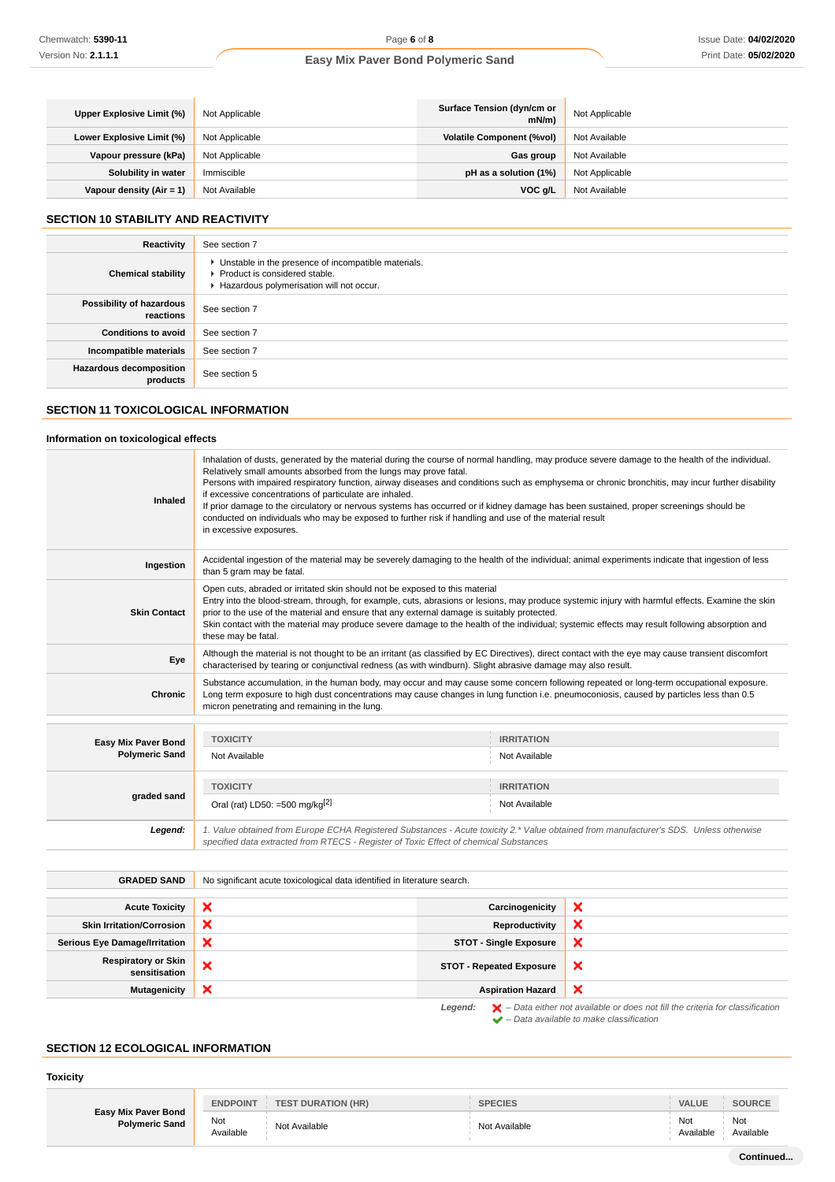| Upper Explosive Limit (%)  | Not Applicable | Surface Tension (dyn/cm or<br>$mN/m$ ) | Not Applicable |
|----------------------------|----------------|----------------------------------------|----------------|
| Lower Explosive Limit (%)  | Not Applicable | <b>Volatile Component (%vol)</b>       | Not Available  |
| Vapour pressure (kPa)      | Not Applicable | Gas group                              | Not Available  |
| Solubility in water        | Immiscible     | pH as a solution (1%)                  | Not Applicable |
| Vapour density $(Air = 1)$ | Not Available  | VOC g/L                                | Not Available  |

## **SECTION 10 STABILITY AND REACTIVITY**

| Reactivity                                 | See section 7                                                                                                                        |
|--------------------------------------------|--------------------------------------------------------------------------------------------------------------------------------------|
| <b>Chemical stability</b>                  | • Unstable in the presence of incompatible materials.<br>▶ Product is considered stable.<br>Hazardous polymerisation will not occur. |
| Possibility of hazardous<br>reactions      | See section 7                                                                                                                        |
| <b>Conditions to avoid</b>                 | See section 7                                                                                                                        |
| Incompatible materials                     | See section 7                                                                                                                        |
| <b>Hazardous decomposition</b><br>products | See section 5                                                                                                                        |

## **SECTION 11 TOXICOLOGICAL INFORMATION**

## **Information on toxicological effects**

| <b>Inhaled</b>                               | Inhalation of dusts, generated by the material during the course of normal handling, may produce severe damage to the health of the individual.<br>Relatively small amounts absorbed from the lungs may prove fatal.<br>Persons with impaired respiratory function, airway diseases and conditions such as emphysema or chronic bronchitis, may incur further disability<br>if excessive concentrations of particulate are inhaled.<br>If prior damage to the circulatory or nervous systems has occurred or if kidney damage has been sustained, proper screenings should be<br>conducted on individuals who may be exposed to further risk if handling and use of the material result<br>in excessive exposures. |                            |                                 |   |
|----------------------------------------------|--------------------------------------------------------------------------------------------------------------------------------------------------------------------------------------------------------------------------------------------------------------------------------------------------------------------------------------------------------------------------------------------------------------------------------------------------------------------------------------------------------------------------------------------------------------------------------------------------------------------------------------------------------------------------------------------------------------------|----------------------------|---------------------------------|---|
| Ingestion                                    | Accidental ingestion of the material may be severely damaging to the health of the individual; animal experiments indicate that ingestion of less<br>than 5 gram may be fatal.                                                                                                                                                                                                                                                                                                                                                                                                                                                                                                                                     |                            |                                 |   |
| <b>Skin Contact</b>                          | Open cuts, abraded or irritated skin should not be exposed to this material<br>Entry into the blood-stream, through, for example, cuts, abrasions or lesions, may produce systemic injury with harmful effects. Examine the skin<br>prior to the use of the material and ensure that any external damage is suitably protected.<br>Skin contact with the material may produce severe damage to the health of the individual; systemic effects may result following absorption and<br>these may be fatal.                                                                                                                                                                                                           |                            |                                 |   |
| Eye                                          | Although the material is not thought to be an irritant (as classified by EC Directives), direct contact with the eye may cause transient discomfort<br>characterised by tearing or conjunctival redness (as with windburn). Slight abrasive damage may also result.                                                                                                                                                                                                                                                                                                                                                                                                                                                |                            |                                 |   |
| <b>Chronic</b>                               | Substance accumulation, in the human body, may occur and may cause some concern following repeated or long-term occupational exposure.<br>Long term exposure to high dust concentrations may cause changes in lung function i.e. pneumoconiosis, caused by particles less than 0.5<br>micron penetrating and remaining in the lung.                                                                                                                                                                                                                                                                                                                                                                                |                            |                                 |   |
| Easy Mix Paver Bond<br><b>Polymeric Sand</b> | <b>TOXICITY</b><br><b>IRRITATION</b><br>Not Available<br>Not Available                                                                                                                                                                                                                                                                                                                                                                                                                                                                                                                                                                                                                                             |                            |                                 |   |
| graded sand                                  | <b>TOXICITY</b><br><b>IRRITATION</b><br>Oral (rat) LD50: =500 mg/kg <sup>[2]</sup><br>Not Available                                                                                                                                                                                                                                                                                                                                                                                                                                                                                                                                                                                                                |                            |                                 |   |
| Legend:                                      | 1. Value obtained from Europe ECHA Registered Substances - Acute toxicity 2.* Value obtained from manufacturer's SDS. Unless otherwise<br>specified data extracted from RTECS - Register of Toxic Effect of chemical Substances                                                                                                                                                                                                                                                                                                                                                                                                                                                                                    |                            |                                 |   |
| <b>GRADED SAND</b>                           | No significant acute toxicological data identified in literature search.                                                                                                                                                                                                                                                                                                                                                                                                                                                                                                                                                                                                                                           |                            |                                 |   |
| <b>Acute Toxicity</b>                        | ×                                                                                                                                                                                                                                                                                                                                                                                                                                                                                                                                                                                                                                                                                                                  |                            | Carcinogenicity                 | × |
| <b>Skin Irritation/Corrosion</b>             | ×                                                                                                                                                                                                                                                                                                                                                                                                                                                                                                                                                                                                                                                                                                                  | ×<br><b>Reproductivity</b> |                                 |   |
| <b>Serious Eye Damage/Irritation</b>         | ×                                                                                                                                                                                                                                                                                                                                                                                                                                                                                                                                                                                                                                                                                                                  |                            | <b>STOT - Single Exposure</b>   | × |
| <b>Respiratory or Skin</b><br>sensitisation  | ×                                                                                                                                                                                                                                                                                                                                                                                                                                                                                                                                                                                                                                                                                                                  |                            | <b>STOT - Repeated Exposure</b> | × |
| <b>Mutagenicity</b>                          | ×                                                                                                                                                                                                                                                                                                                                                                                                                                                                                                                                                                                                                                                                                                                  |                            | <b>Aspiration Hazard</b>        | × |

Legend:  $\blacktriangleright$  - Data either not available or does not fill the criteria for classification  $\blacktriangleright$  – Data available to make classification

#### **SECTION 12 ECOLOGICAL INFORMATION**

#### **Toxicity**

|                                              | <b>ENDPOINT</b>  | <b>TEST DURATION (HR)</b> | <b>SPECIES</b> | <b>VALUE</b>     | <b>SOURCE</b>    |
|----------------------------------------------|------------------|---------------------------|----------------|------------------|------------------|
| Easy Mix Paver Bond<br><b>Polymeric Sand</b> | Not<br>Available | Not Available             | Not Available  | Not<br>Available | Not<br>Available |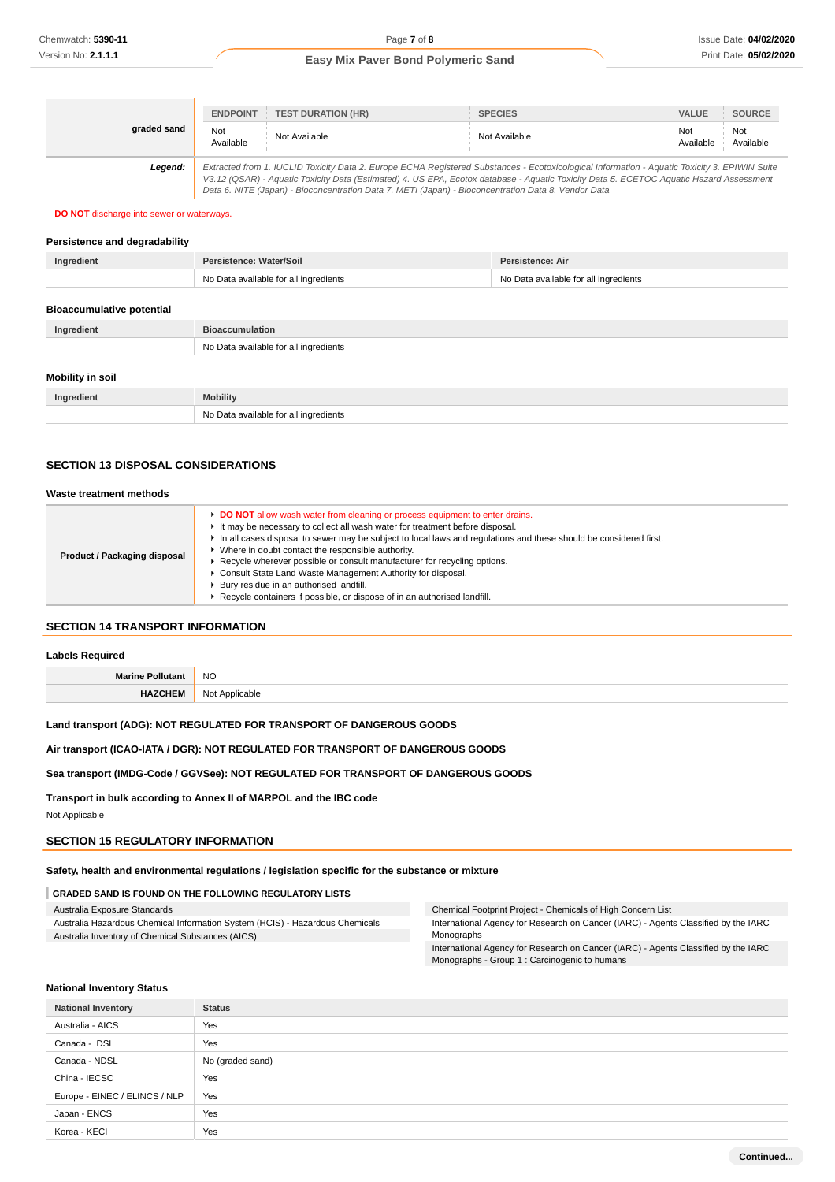| graded sand | <b>TEST DURATION (HR)</b><br><b>ENDPOINT</b><br>Not<br>Not Available<br>Available                   | <b>SPECIES</b><br>Not Available                                                                                                                                                                                                                                                          | VALUE<br>Not<br>Available | <b>SOURCE</b><br>Not<br>Available |
|-------------|-----------------------------------------------------------------------------------------------------|------------------------------------------------------------------------------------------------------------------------------------------------------------------------------------------------------------------------------------------------------------------------------------------|---------------------------|-----------------------------------|
| Leaend:     | Data 6. NITE (Japan) - Bioconcentration Data 7. METI (Japan) - Bioconcentration Data 8. Vendor Data | Extracted from 1. IUCLID Toxicity Data 2. Europe ECHA Registered Substances - Ecotoxicological Information - Aquatic Toxicity 3. EPIWIN Suite<br>V3.12 (QSAR) - Aquatic Toxicity Data (Estimated) 4. US EPA, Ecotox database - Aquatic Toxicity Data 5. ECETOC Aquatic Hazard Assessment |                           |                                   |

#### **DO NOT** discharge into sewer or waterways.

#### **Persistence and degradability**

| Ingredient | Persistence: Water/Soil               | Persistence: Air                      |
|------------|---------------------------------------|---------------------------------------|
|            | No Data available for all ingredients | No Data available for all ingredients |
|            |                                       |                                       |

| <b>Bioaccumulative potential</b> |                                       |  |
|----------------------------------|---------------------------------------|--|
| Ingredient                       | <b>Bioaccumulation</b>                |  |
|                                  | No Data available for all ingredients |  |
| Mobility in soil                 |                                       |  |
| Ingredient                       | <b>Mobility</b>                       |  |
|                                  | No Data available for all ingredients |  |

#### **SECTION 13 DISPOSAL CONSIDERATIONS**

#### **Waste treatment methods**

| Product / Packaging disposal | DO NOT allow wash water from cleaning or process equipment to enter drains.<br>It may be necessary to collect all wash water for treatment before disposal.<br>In all cases disposal to sewer may be subject to local laws and regulations and these should be considered first.<br>Where in doubt contact the responsible authority.<br>Recycle wherever possible or consult manufacturer for recycling options.<br>Consult State Land Waste Management Authority for disposal.<br>Bury residue in an authorised landfill.<br>Recycle containers if possible, or dispose of in an authorised landfill. |
|------------------------------|---------------------------------------------------------------------------------------------------------------------------------------------------------------------------------------------------------------------------------------------------------------------------------------------------------------------------------------------------------------------------------------------------------------------------------------------------------------------------------------------------------------------------------------------------------------------------------------------------------|

#### **SECTION 14 TRANSPORT INFORMATION**

#### **Labels Required**

| M- | <b>NO</b><br>$\sim$ |
|----|---------------------|
|    | . In                |

#### **Land transport (ADG): NOT REGULATED FOR TRANSPORT OF DANGEROUS GOODS**

#### **Air transport (ICAO-IATA / DGR): NOT REGULATED FOR TRANSPORT OF DANGEROUS GOODS**

#### **Sea transport (IMDG-Code / GGVSee): NOT REGULATED FOR TRANSPORT OF DANGEROUS GOODS**

**Transport in bulk according to Annex II of MARPOL and the IBC code**

Not Applicable

## **SECTION 15 REGULATORY INFORMATION**

**Safety, health and environmental regulations / legislation specific for the substance or mixture**

#### **GRADED SAND IS FOUND ON THE FOLLOWING REGULATORY LISTS**

| Australia Exposure Standards                                                 | Chemical Footprint Project - Chemicals of High Concern List                        |
|------------------------------------------------------------------------------|------------------------------------------------------------------------------------|
| Australia Hazardous Chemical Information System (HCIS) - Hazardous Chemicals | International Agency for Research on Cancer (IARC) - Agents Classified by the IARC |
| Australia Inventory of Chemical Substances (AICS)                            | Monographs                                                                         |
|                                                                              | International Agency for Research on Cancer (IARC) - Agents Classified by the IARC |

Monographs - Group 1 : Carcinogenic to humans

#### **National Inventory Status**

| <b>National Inventory</b>     | <b>Status</b>    |
|-------------------------------|------------------|
| Australia - AICS              | Yes              |
| Canada - DSL                  | Yes              |
| Canada - NDSL                 | No (graded sand) |
| China - IECSC                 | Yes              |
| Europe - EINEC / ELINCS / NLP | Yes              |
| Japan - ENCS                  | Yes              |
| Korea - KECI                  | Yes              |